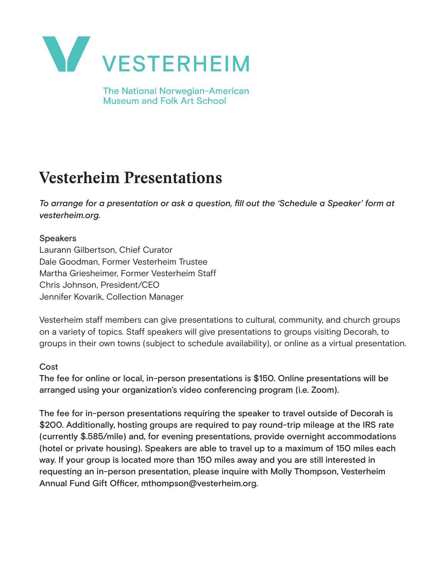

**The National Norwegian-American** Museum and Folk Art School

# **Vesterheim Presentations**

*To arrange for a presentation or ask a question, fill out the 'Schedule a Speaker' form at vesterheim.org.*

**Speakers** Laurann Gilbertson, Chief Curator Dale Goodman, Former Vesterheim Trustee Martha Griesheimer, Former Vesterheim Staff Chris Johnson, President/CEO Jennifer Kovarik, Collection Manager

Vesterheim staff members can give presentations to cultural, community, and church groups on a variety of topics. Staff speakers will give presentations to groups visiting Decorah, to groups in their own towns (subject to schedule availability), or online as a virtual presentation.

#### Cost

The fee for online or local, in-person presentations is \$150. Online presentations will be arranged using your organization's video conferencing program (i.e. Zoom).

The fee for in-person presentations requiring the speaker to travel outside of Decorah is \$200. Additionally, hosting groups are required to pay round-trip mileage at the IRS rate (currently \$.585/mile) and, for evening presentations, provide overnight accommodations (hotel or private housing). Speakers are able to travel up to a maximum of 150 miles each way. If your group is located more than 150 miles away and you are still interested in requesting an in-person presentation, please inquire with Molly Thompson, Vesterheim Annual Fund Gift Officer, mthompson@vesterheim.org.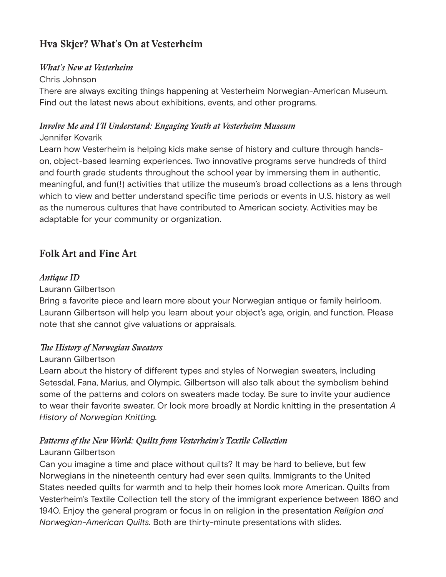## **Hva Skjer? What's On at Vesterheim**

#### *What's New at Vesterheim*

#### Chris Johnson

There are always exciting things happening at Vesterheim Norwegian-American Museum. Find out the latest news about exhibitions, events, and other programs.

## *Involve Me and I'll Understand: Engaging Youth at Vesterheim Museum*

#### Jennifer Kovarik

Learn how Vesterheim is helping kids make sense of history and culture through handson, object-based learning experiences. Two innovative programs serve hundreds of third and fourth grade students throughout the school year by immersing them in authentic, meaningful, and fun(!) activities that utilize the museum's broad collections as a lens through which to view and better understand specific time periods or events in U.S. history as well as the numerous cultures that have contributed to American society. Activities may be adaptable for your community or organization.

### **Folk Art and Fine Art**

#### *Antique ID*

#### Laurann Gilbertson

Bring a favorite piece and learn more about your Norwegian antique or family heirloom. Laurann Gilbertson will help you learn about your object's age, origin, and function. Please note that she cannot give valuations or appraisals.

#### *The History of Norwegian Sweaters*

#### Laurann Gilbertson

Learn about the history of different types and styles of Norwegian sweaters, including Setesdal, Fana, Marius, and Olympic. Gilbertson will also talk about the symbolism behind some of the patterns and colors on sweaters made today. Be sure to invite your audience to wear their favorite sweater. Or look more broadly at Nordic knitting in the presentation *A History of Norwegian Knitting.* 

## *Patterns of the New World: Quilts from Vesterheim's Textile Collection*

#### Laurann Gilbertson

Can you imagine a time and place without quilts? It may be hard to believe, but few Norwegians in the nineteenth century had ever seen quilts. Immigrants to the United States needed quilts for warmth and to help their homes look more American. Quilts from Vesterheim's Textile Collection tell the story of the immigrant experience between 1860 and 1940. Enjoy the general program or focus in on religion in the presentation *Religion and Norwegian-American Quilts.* Both are thirty-minute presentations with slides.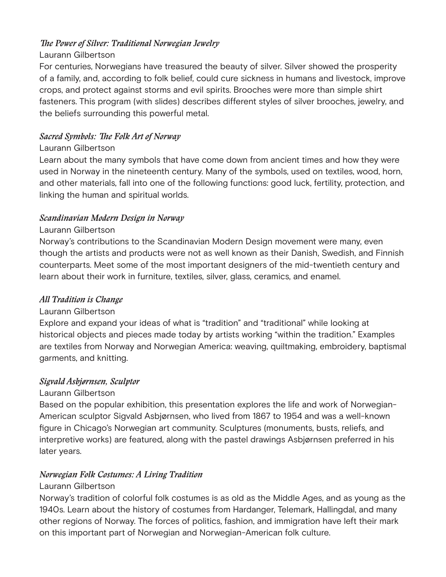#### *The Power of Silver: Traditional Norwegian Jewelry*

#### Laurann Gilbertson

For centuries, Norwegians have treasured the beauty of silver. Silver showed the prosperity of a family, and, according to folk belief, could cure sickness in humans and livestock, improve crops, and protect against storms and evil spirits. Brooches were more than simple shirt fasteners. This program (with slides) describes different styles of silver brooches, jewelry, and the beliefs surrounding this powerful metal.

#### *Sacred Symbols: The Folk Art of Norway*

#### Laurann Gilbertson

Learn about the many symbols that have come down from ancient times and how they were used in Norway in the nineteenth century. Many of the symbols, used on textiles, wood, horn, and other materials, fall into one of the following functions: good luck, fertility, protection, and linking the human and spiritual worlds.

#### *Scandinavian Modern Design in Norway*

#### Laurann Gilbertson

Norway's contributions to the Scandinavian Modern Design movement were many, even though the artists and products were not as well known as their Danish, Swedish, and Finnish counterparts. Meet some of the most important designers of the mid-twentieth century and learn about their work in furniture, textiles, silver, glass, ceramics, and enamel.

#### *All Tradition is Change*

#### Laurann Gilbertson

Explore and expand your ideas of what is "tradition" and "traditional" while looking at historical objects and pieces made today by artists working "within the tradition." Examples are textiles from Norway and Norwegian America: weaving, quiltmaking, embroidery, baptismal garments, and knitting.

#### *Sigvald Asbjørnsen, Sculptor*

#### Laurann Gilbertson

Based on the popular exhibition, this presentation explores the life and work of Norwegian-American sculptor Sigvald Asbjørnsen, who lived from 1867 to 1954 and was a well-known figure in Chicago's Norwegian art community. Sculptures (monuments, busts, reliefs, and interpretive works) are featured, along with the pastel drawings Asbjørnsen preferred in his later years.

#### *Norwegian Folk Costumes: A Living Tradition*

#### Laurann Gilbertson

Norway's tradition of colorful folk costumes is as old as the Middle Ages, and as young as the 1940s. Learn about the history of costumes from Hardanger, Telemark, Hallingdal, and many other regions of Norway. The forces of politics, fashion, and immigration have left their mark on this important part of Norwegian and Norwegian-American folk culture.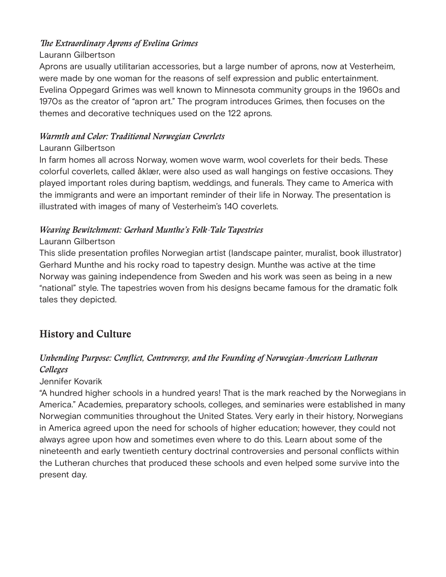#### *The Extraordinary Aprons of Evelina Grimes*

#### Laurann Gilbertson

Aprons are usually utilitarian accessories, but a large number of aprons, now at Vesterheim, were made by one woman for the reasons of self expression and public entertainment. Evelina Oppegard Grimes was well known to Minnesota community groups in the 1960s and 1970s as the creator of "apron art." The program introduces Grimes, then focuses on the themes and decorative techniques used on the 122 aprons.

#### *Warmth and Color: Traditional Norwegian Coverlets*

#### Laurann Gilbertson

In farm homes all across Norway, women wove warm, wool coverlets for their beds. These colorful coverlets, called åklær, were also used as wall hangings on festive occasions. They played important roles during baptism, weddings, and funerals. They came to America with the immigrants and were an important reminder of their life in Norway. The presentation is illustrated with images of many of Vesterheim's 140 coverlets.

#### *Weaving Bewitchment: Gerhard Munthe's Folk-Tale Tapestries*

#### Laurann Gilbertson

This slide presentation profiles Norwegian artist (landscape painter, muralist, book illustrator) Gerhard Munthe and his rocky road to tapestry design. Munthe was active at the time Norway was gaining independence from Sweden and his work was seen as being in a new "national" style. The tapestries woven from his designs became famous for the dramatic folk tales they depicted.

## **History and Culture**

#### *Unbending Purpose: Conflict, Controversy, and the Founding of Norwegian-American Lutheran Colleges*

#### Jennifer Kovarik

"A hundred higher schools in a hundred years! That is the mark reached by the Norwegians in America." Academies, preparatory schools, colleges, and seminaries were established in many Norwegian communities throughout the United States. Very early in their history, Norwegians in America agreed upon the need for schools of higher education; however, they could not always agree upon how and sometimes even where to do this. Learn about some of the nineteenth and early twentieth century doctrinal controversies and personal conflicts within the Lutheran churches that produced these schools and even helped some survive into the present day.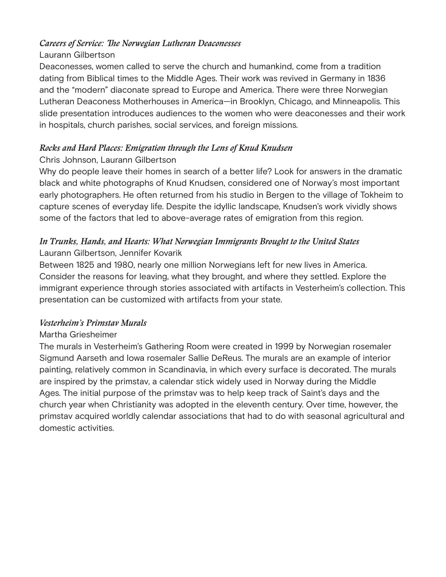#### *Careers of Service: The Norwegian Lutheran Deaconesses*

#### Laurann Gilbertson

Deaconesses, women called to serve the church and humankind, come from a tradition dating from Biblical times to the Middle Ages. Their work was revived in Germany in 1836 and the "modern" diaconate spread to Europe and America. There were three Norwegian Lutheran Deaconess Motherhouses in America—in Brooklyn, Chicago, and Minneapolis. This slide presentation introduces audiences to the women who were deaconesses and their work in hospitals, church parishes, social services, and foreign missions.

#### *Rocks and Hard Places: Emigration through the Lens of Knud Knudsen*

#### Chris Johnson, Laurann Gilbertson

Why do people leave their homes in search of a better life? Look for answers in the dramatic black and white photographs of Knud Knudsen, considered one of Norway's most important early photographers. He often returned from his studio in Bergen to the village of Tokheim to capture scenes of everyday life. Despite the idyllic landscape, Knudsen's work vividly shows some of the factors that led to above-average rates of emigration from this region.

#### *In Trunks, Hands, and Hearts: What Norwegian Immigrants Brought to the United States*  Laurann Gilbertson, Jennifer Kovarik

Between 1825 and 1980, nearly one million Norwegians left for new lives in America. Consider the reasons for leaving, what they brought, and where they settled. Explore the immigrant experience through stories associated with artifacts in Vesterheim's collection. This presentation can be customized with artifacts from your state.

#### *Vesterheim's Primstav Murals*

#### Martha Griesheimer

The murals in Vesterheim's Gathering Room were created in 1999 by Norwegian rosemaler Sigmund Aarseth and Iowa rosemaler Sallie DeReus. The murals are an example of interior painting, relatively common in Scandinavia, in which every surface is decorated. The murals are inspired by the primstav, a calendar stick widely used in Norway during the Middle Ages. The initial purpose of the primstav was to help keep track of Saint's days and the church year when Christianity was adopted in the eleventh century. Over time, however, the primstav acquired worldly calendar associations that had to do with seasonal agricultural and domestic activities.